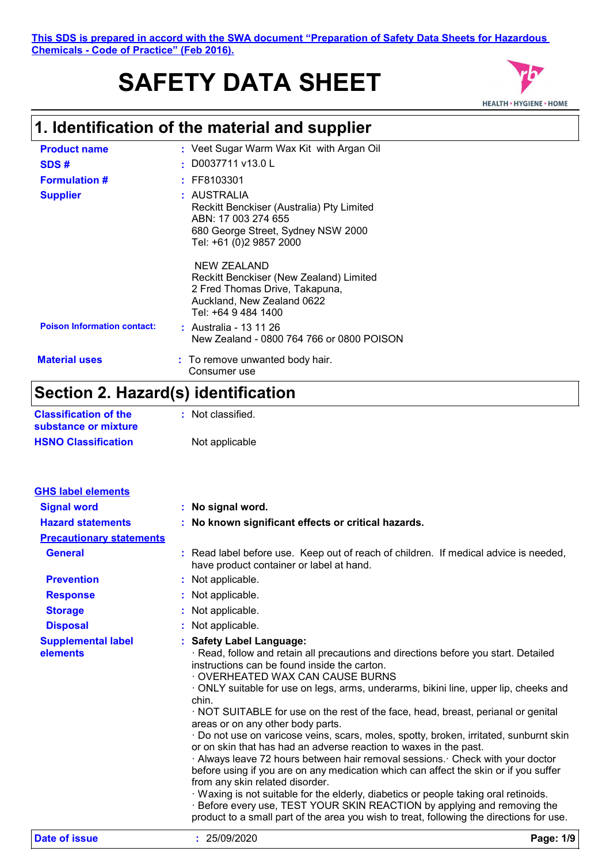# **SAFETY DATA SHEET**



# **1. Identification of the material and supplier**

| <b>Product name</b>                | : Veet Sugar Warm Wax Kit with Argan Oil                                                                                                         |
|------------------------------------|--------------------------------------------------------------------------------------------------------------------------------------------------|
| SDS#                               | D0037711 v13.0 L                                                                                                                                 |
| <b>Formulation #</b>               | $:$ FF8103301                                                                                                                                    |
| <b>Supplier</b>                    | : AUSTRALIA<br>Reckitt Benckiser (Australia) Pty Limited<br>ABN: 17 003 274 655<br>680 George Street, Sydney NSW 2000<br>Tel: +61 (0)2 9857 2000 |
|                                    | NEW ZEALAND<br>Reckitt Benckiser (New Zealand) Limited<br>2 Fred Thomas Drive, Takapuna,<br>Auckland, New Zealand 0622<br>Tel: +64 9 484 1400    |
| <b>Poison Information contact:</b> | : Australia - 13 11 26<br>New Zealand - 0800 764 766 or 0800 POISON                                                                              |
| <b>Material uses</b>               | : To remove unwanted body hair.<br>Consumer use                                                                                                  |

# **Section 2. Hazard(s) identification**

| <b>Classification of the</b><br>substance or mixture | : Not classified. |
|------------------------------------------------------|-------------------|
| <b>HSNO Classification</b>                           | Not applicable    |

| <b>GHS label elements</b>             |                                                                                                                                                                                                                                                                                                                                                                                                                                                                                                                                                                                                                                                                                                                                                                                                                                                                                                                                                                                                                                                                         |           |
|---------------------------------------|-------------------------------------------------------------------------------------------------------------------------------------------------------------------------------------------------------------------------------------------------------------------------------------------------------------------------------------------------------------------------------------------------------------------------------------------------------------------------------------------------------------------------------------------------------------------------------------------------------------------------------------------------------------------------------------------------------------------------------------------------------------------------------------------------------------------------------------------------------------------------------------------------------------------------------------------------------------------------------------------------------------------------------------------------------------------------|-----------|
| <b>Signal word</b>                    | : No signal word.                                                                                                                                                                                                                                                                                                                                                                                                                                                                                                                                                                                                                                                                                                                                                                                                                                                                                                                                                                                                                                                       |           |
| <b>Hazard statements</b>              | : No known significant effects or critical hazards.                                                                                                                                                                                                                                                                                                                                                                                                                                                                                                                                                                                                                                                                                                                                                                                                                                                                                                                                                                                                                     |           |
| <b>Precautionary statements</b>       |                                                                                                                                                                                                                                                                                                                                                                                                                                                                                                                                                                                                                                                                                                                                                                                                                                                                                                                                                                                                                                                                         |           |
| <b>General</b>                        | : Read label before use. Keep out of reach of children. If medical advice is needed,<br>have product container or label at hand.                                                                                                                                                                                                                                                                                                                                                                                                                                                                                                                                                                                                                                                                                                                                                                                                                                                                                                                                        |           |
| <b>Prevention</b>                     | : Not applicable.                                                                                                                                                                                                                                                                                                                                                                                                                                                                                                                                                                                                                                                                                                                                                                                                                                                                                                                                                                                                                                                       |           |
| <b>Response</b>                       | Not applicable.                                                                                                                                                                                                                                                                                                                                                                                                                                                                                                                                                                                                                                                                                                                                                                                                                                                                                                                                                                                                                                                         |           |
| <b>Storage</b>                        | Not applicable.                                                                                                                                                                                                                                                                                                                                                                                                                                                                                                                                                                                                                                                                                                                                                                                                                                                                                                                                                                                                                                                         |           |
| <b>Disposal</b>                       | Not applicable.                                                                                                                                                                                                                                                                                                                                                                                                                                                                                                                                                                                                                                                                                                                                                                                                                                                                                                                                                                                                                                                         |           |
| <b>Supplemental label</b><br>elements | : Safety Label Language:<br>· Read, follow and retain all precautions and directions before you start. Detailed<br>instructions can be found inside the carton.<br>· OVERHEATED WAX CAN CAUSE BURNS<br>ONLY suitable for use on legs, arms, underarms, bikini line, upper lip, cheeks and<br>chin.<br>· NOT SUITABLE for use on the rest of the face, head, breast, perianal or genital<br>areas or on any other body parts.<br>· Do not use on varicose veins, scars, moles, spotty, broken, irritated, sunburnt skin<br>or on skin that has had an adverse reaction to waxes in the past.<br>· Always leave 72 hours between hair removal sessions. Check with your doctor<br>before using if you are on any medication which can affect the skin or if you suffer<br>from any skin related disorder.<br>· Waxing is not suitable for the elderly, diabetics or people taking oral retinoids.<br>· Before every use, TEST YOUR SKIN REACTION by applying and removing the<br>product to a small part of the area you wish to treat, following the directions for use. |           |
| Date of issue                         | : 25/09/2020                                                                                                                                                                                                                                                                                                                                                                                                                                                                                                                                                                                                                                                                                                                                                                                                                                                                                                                                                                                                                                                            | Page: 1/9 |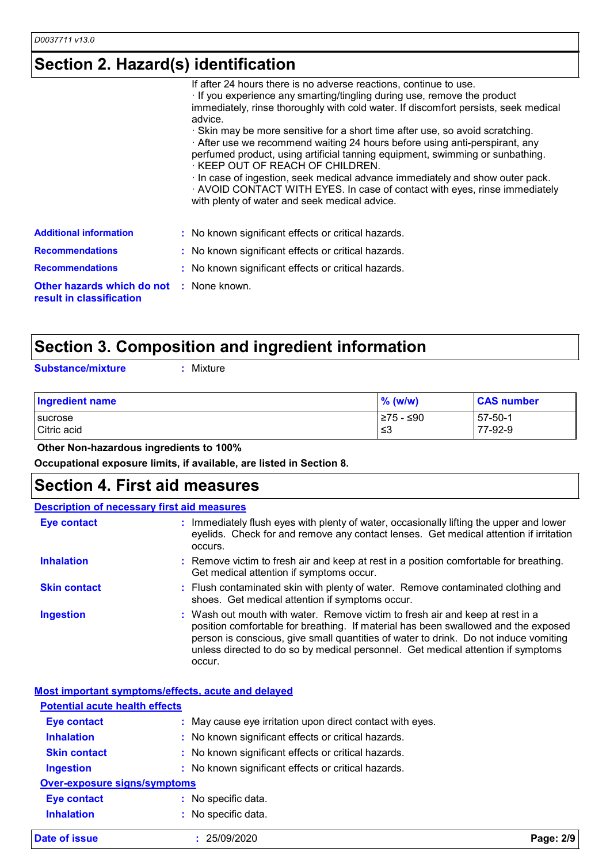### **Section 2. Hazard(s) identification**

|                                                                             | If after 24 hours there is no adverse reactions, continue to use.<br>If you experience any smarting/tingling during use, remove the product<br>immediately, rinse thoroughly with cold water. If discomfort persists, seek medical<br>advice.<br>· Skin may be more sensitive for a short time after use, so avoid scratching.<br>After use we recommend waiting 24 hours before using anti-perspirant, any<br>perfumed product, using artificial tanning equipment, swimming or sunbathing.<br>$\cdot$ KEEP OUT OF REACH OF CHILDREN.<br>· In case of ingestion, seek medical advance immediately and show outer pack.<br>AVOID CONTACT WITH EYES. In case of contact with eyes, rinse immediately<br>with plenty of water and seek medical advice. |
|-----------------------------------------------------------------------------|------------------------------------------------------------------------------------------------------------------------------------------------------------------------------------------------------------------------------------------------------------------------------------------------------------------------------------------------------------------------------------------------------------------------------------------------------------------------------------------------------------------------------------------------------------------------------------------------------------------------------------------------------------------------------------------------------------------------------------------------------|
| <b>Additional information</b>                                               | : No known significant effects or critical hazards.                                                                                                                                                                                                                                                                                                                                                                                                                                                                                                                                                                                                                                                                                                  |
| <b>Recommendations</b>                                                      | : No known significant effects or critical hazards.                                                                                                                                                                                                                                                                                                                                                                                                                                                                                                                                                                                                                                                                                                  |
| <b>Recommendations</b>                                                      | : No known significant effects or critical hazards.                                                                                                                                                                                                                                                                                                                                                                                                                                                                                                                                                                                                                                                                                                  |
| <b>Other hazards which do not : None known.</b><br>result in classification |                                                                                                                                                                                                                                                                                                                                                                                                                                                                                                                                                                                                                                                                                                                                                      |

### **Section 3. Composition and ingredient information**

**Substance/mixture :**

Mixture

| Ingredient name | $%$ (w/w)  | <b>CAS number</b> |
|-----------------|------------|-------------------|
| sucrose         | I≥75 - ≤90 | $57 - 50 - 1$     |
| Citric acid     | ו≥ ≥       | 77-92-9           |

 **Other Non-hazardous ingredients to 100%**

**Occupational exposure limits, if available, are listed in Section 8.**

### **Section 4. First aid measures**

#### : Wash out mouth with water. Remove victim to fresh air and keep at rest in a position comfortable for breathing. If material has been swallowed and the exposed person is conscious, give small quantities of water to drink. Do not induce vomiting unless directed to do so by medical personnel. Get medical attention if symptoms occur. **:** Immediately flush eyes with plenty of water, occasionally lifting the upper and lower eyelids. Check for and remove any contact lenses. Get medical attention if irritation occurs. Flush contaminated skin with plenty of water. Remove contaminated clothing and **:** shoes. Get medical attention if symptoms occur. Remove victim to fresh air and keep at rest in a position comfortable for breathing. **:** Get medical attention if symptoms occur. **Eye contact Skin contact Inhalation Ingestion : Description of necessary first aid measures**

| Most important symptoms/effects, acute and delayed |                                                         |           |  |
|----------------------------------------------------|---------------------------------------------------------|-----------|--|
| <b>Potential acute health effects</b>              |                                                         |           |  |
| <b>Eye contact</b>                                 | May cause eye irritation upon direct contact with eyes. |           |  |
| <b>Inhalation</b>                                  | : No known significant effects or critical hazards.     |           |  |
| <b>Skin contact</b>                                | : No known significant effects or critical hazards.     |           |  |
| <b>Ingestion</b>                                   | : No known significant effects or critical hazards.     |           |  |
| <b>Over-exposure signs/symptoms</b>                |                                                         |           |  |
| <b>Eye contact</b>                                 | : No specific data.                                     |           |  |
| <b>Inhalation</b>                                  | : No specific data.                                     |           |  |
| Date of issue                                      | 25/09/2020                                              | Page: 2/9 |  |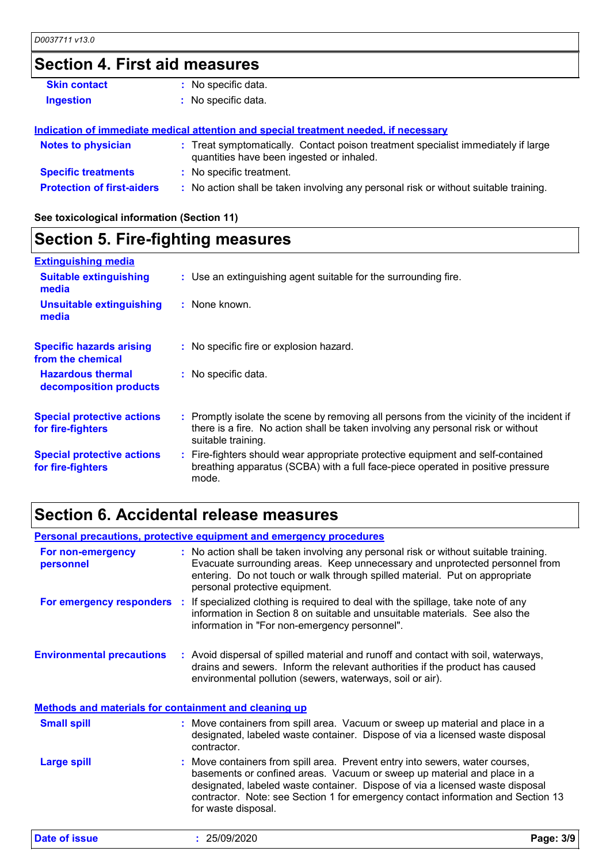# **Section 4. First aid measures**

| <b>Skin contact</b>               | : No specific data.                                                                                                            |
|-----------------------------------|--------------------------------------------------------------------------------------------------------------------------------|
| <b>Ingestion</b>                  | : No specific data.                                                                                                            |
|                                   |                                                                                                                                |
|                                   | <b>Indication of immediate medical attention and special treatment needed, if necessary</b>                                    |
| <b>Notes to physician</b>         | : Treat symptomatically. Contact poison treatment specialist immediately if large<br>quantities have been ingested or inhaled. |
| <b>Specific treatments</b>        | : No specific treatment.                                                                                                       |
| <b>Protection of first-aiders</b> | : No action shall be taken involving any personal risk or without suitable training.                                           |

**See toxicological information (Section 11)**

### **Section 5. Fire-fighting measures**

#### **Extinguishing media**

| <u> Auni, als mill, mistin</u>                         |                                                                                                                                                                                                     |
|--------------------------------------------------------|-----------------------------------------------------------------------------------------------------------------------------------------------------------------------------------------------------|
| <b>Suitable extinguishing</b><br>media                 | : Use an extinguishing agent suitable for the surrounding fire.                                                                                                                                     |
| <b>Unsuitable extinguishing</b><br>media               | : None known.                                                                                                                                                                                       |
| <b>Specific hazards arising</b><br>from the chemical   | : No specific fire or explosion hazard.                                                                                                                                                             |
| <b>Hazardous thermal</b><br>decomposition products     | : No specific data.                                                                                                                                                                                 |
| <b>Special protective actions</b><br>for fire-fighters | : Promptly isolate the scene by removing all persons from the vicinity of the incident if<br>there is a fire. No action shall be taken involving any personal risk or without<br>suitable training. |
| <b>Special protective actions</b><br>for fire-fighters | : Fire-fighters should wear appropriate protective equipment and self-contained<br>breathing apparatus (SCBA) with a full face-piece operated in positive pressure<br>mode.                         |

# **Section 6. Accidental release measures**

|                                                              | Personal precautions, protective equipment and emergency procedures                                                                                                                                                                                                                                                                                 |           |
|--------------------------------------------------------------|-----------------------------------------------------------------------------------------------------------------------------------------------------------------------------------------------------------------------------------------------------------------------------------------------------------------------------------------------------|-----------|
| For non-emergency<br>personnel                               | : No action shall be taken involving any personal risk or without suitable training.<br>Evacuate surrounding areas. Keep unnecessary and unprotected personnel from<br>entering. Do not touch or walk through spilled material. Put on appropriate<br>personal protective equipment.                                                                |           |
|                                                              | For emergency responders : If specialized clothing is required to deal with the spillage, take note of any<br>information in Section 8 on suitable and unsuitable materials. See also the<br>information in "For non-emergency personnel".                                                                                                          |           |
| <b>Environmental precautions</b>                             | : Avoid dispersal of spilled material and runoff and contact with soil, waterways,<br>drains and sewers. Inform the relevant authorities if the product has caused<br>environmental pollution (sewers, waterways, soil or air).                                                                                                                     |           |
| <b>Methods and materials for containment and cleaning up</b> |                                                                                                                                                                                                                                                                                                                                                     |           |
| <b>Small spill</b>                                           | : Move containers from spill area. Vacuum or sweep up material and place in a<br>designated, labeled waste container. Dispose of via a licensed waste disposal<br>contractor.                                                                                                                                                                       |           |
| <b>Large spill</b>                                           | : Move containers from spill area. Prevent entry into sewers, water courses,<br>basements or confined areas. Vacuum or sweep up material and place in a<br>designated, labeled waste container. Dispose of via a licensed waste disposal<br>contractor. Note: see Section 1 for emergency contact information and Section 13<br>for waste disposal. |           |
| <b>Date of issue</b>                                         | : 25/09/2020                                                                                                                                                                                                                                                                                                                                        | Page: 3/9 |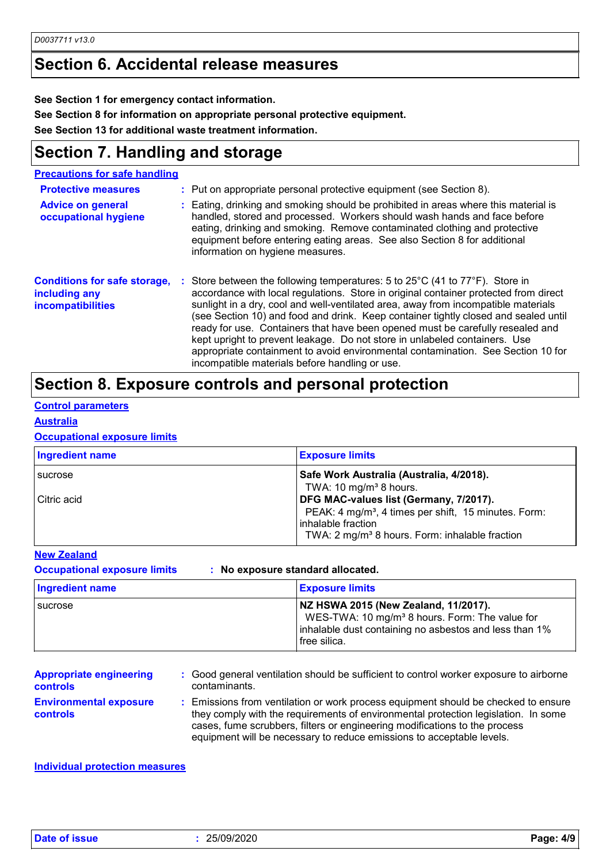# **Section 6. Accidental release measures**

**See Section 1 for emergency contact information.**

**See Section 8 for information on appropriate personal protective equipment.**

**See Section 13 for additional waste treatment information.**

## **Section 7. Handling and storage**

**Precautions for safe handling**

| <b>Protective measures</b>                                                       | : Put on appropriate personal protective equipment (see Section 8).                                                                                                                                                                                                                                                                                                                                                                                                                                                                                                                                                                                                         |
|----------------------------------------------------------------------------------|-----------------------------------------------------------------------------------------------------------------------------------------------------------------------------------------------------------------------------------------------------------------------------------------------------------------------------------------------------------------------------------------------------------------------------------------------------------------------------------------------------------------------------------------------------------------------------------------------------------------------------------------------------------------------------|
| <b>Advice on general</b><br>occupational hygiene                                 | : Eating, drinking and smoking should be prohibited in areas where this material is<br>handled, stored and processed. Workers should wash hands and face before<br>eating, drinking and smoking. Remove contaminated clothing and protective<br>equipment before entering eating areas. See also Section 8 for additional<br>information on hygiene measures.                                                                                                                                                                                                                                                                                                               |
| <b>Conditions for safe storage,</b><br>including any<br><b>incompatibilities</b> | : Store between the following temperatures: 5 to $25^{\circ}$ C (41 to $77^{\circ}$ F). Store in<br>accordance with local regulations. Store in original container protected from direct<br>sunlight in a dry, cool and well-ventilated area, away from incompatible materials<br>(see Section 10) and food and drink. Keep container tightly closed and sealed until<br>ready for use. Containers that have been opened must be carefully resealed and<br>kept upright to prevent leakage. Do not store in unlabeled containers. Use<br>appropriate containment to avoid environmental contamination. See Section 10 for<br>incompatible materials before handling or use. |

### **Section 8. Exposure controls and personal protection**

#### **Control parameters**

#### **Australia**

#### **Occupational exposure limits**

| <b>Ingredient name</b> | <b>Exposure limits</b>                                                                                                                                                                         |
|------------------------|------------------------------------------------------------------------------------------------------------------------------------------------------------------------------------------------|
| <b>I</b> sucrose       | Safe Work Australia (Australia, 4/2018).<br>TWA: 10 mg/m <sup>3</sup> 8 hours.                                                                                                                 |
| Citric acid            | DFG MAC-values list (Germany, 7/2017).<br>PEAK: 4 mg/m <sup>3</sup> , 4 times per shift, 15 minutes. Form:<br>inhalable fraction<br>TWA: 2 mg/m <sup>3</sup> 8 hours. Form: inhalable fraction |

#### **New Zealand**

**Occupational exposure limits : No exposure standard allocated.**

| <b>Ingredient name</b> | <b>Exposure limits</b>                                                                                                                                                         |
|------------------------|--------------------------------------------------------------------------------------------------------------------------------------------------------------------------------|
| <b>Sucrose</b>         | NZ HSWA 2015 (New Zealand, 11/2017).<br>WES-TWA: 10 mg/m <sup>3</sup> 8 hours. Form: The value for<br>inhalable dust containing no asbestos and less than 1%<br>l free silica. |

| <b>Appropriate engineering</b>                   | : Good general ventilation should be sufficient to control worker exposure to airborne                                                                                                                                                                                                                                          |
|--------------------------------------------------|---------------------------------------------------------------------------------------------------------------------------------------------------------------------------------------------------------------------------------------------------------------------------------------------------------------------------------|
| controls                                         | contaminants.                                                                                                                                                                                                                                                                                                                   |
| <b>Environmental exposure</b><br><b>controls</b> | : Emissions from ventilation or work process equipment should be checked to ensure<br>they comply with the requirements of environmental protection legislation. In some<br>cases, fume scrubbers, filters or engineering modifications to the process<br>equipment will be necessary to reduce emissions to acceptable levels. |

**Individual protection measures**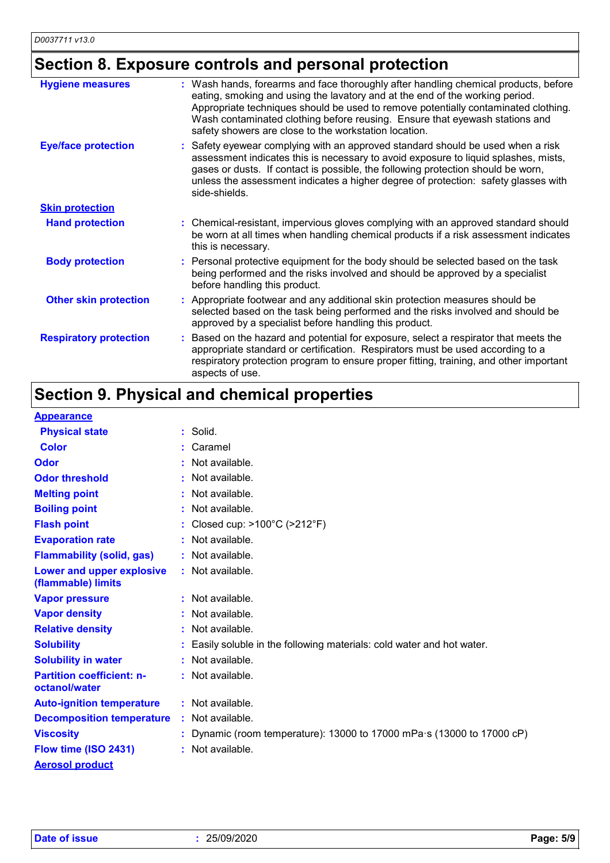# **Section 8. Exposure controls and personal protection**

| <b>Hygiene measures</b>       | Wash hands, forearms and face thoroughly after handling chemical products, before<br>eating, smoking and using the lavatory and at the end of the working period.<br>Appropriate techniques should be used to remove potentially contaminated clothing.<br>Wash contaminated clothing before reusing. Ensure that eyewash stations and<br>safety showers are close to the workstation location. |
|-------------------------------|-------------------------------------------------------------------------------------------------------------------------------------------------------------------------------------------------------------------------------------------------------------------------------------------------------------------------------------------------------------------------------------------------|
| <b>Eye/face protection</b>    | : Safety eyewear complying with an approved standard should be used when a risk<br>assessment indicates this is necessary to avoid exposure to liquid splashes, mists,<br>gases or dusts. If contact is possible, the following protection should be worn,<br>unless the assessment indicates a higher degree of protection: safety glasses with<br>side-shields.                               |
| <b>Skin protection</b>        |                                                                                                                                                                                                                                                                                                                                                                                                 |
| <b>Hand protection</b>        | : Chemical-resistant, impervious gloves complying with an approved standard should<br>be worn at all times when handling chemical products if a risk assessment indicates<br>this is necessary.                                                                                                                                                                                                 |
| <b>Body protection</b>        | : Personal protective equipment for the body should be selected based on the task<br>being performed and the risks involved and should be approved by a specialist<br>before handling this product.                                                                                                                                                                                             |
| <b>Other skin protection</b>  | Appropriate footwear and any additional skin protection measures should be<br>selected based on the task being performed and the risks involved and should be<br>approved by a specialist before handling this product.                                                                                                                                                                         |
| <b>Respiratory protection</b> | Based on the hazard and potential for exposure, select a respirator that meets the<br>appropriate standard or certification. Respirators must be used according to a<br>respiratory protection program to ensure proper fitting, training, and other important<br>aspects of use.                                                                                                               |

# **Section 9. Physical and chemical properties**

#### **Appearance**

| <b>Physical state</b>                             | $:$ Solid.                                                             |
|---------------------------------------------------|------------------------------------------------------------------------|
| <b>Color</b>                                      | Caramel                                                                |
| Odor                                              | Not available.                                                         |
| <b>Odor threshold</b>                             | Not available.                                                         |
| <b>Melting point</b>                              | Not available.                                                         |
| <b>Boiling point</b>                              | Not available.                                                         |
| <b>Flash point</b>                                | Closed cup: $>100^{\circ}$ C ( $>212^{\circ}$ F)                       |
| <b>Evaporation rate</b>                           | Not available.                                                         |
| <b>Flammability (solid, gas)</b>                  | $:$ Not available.                                                     |
| Lower and upper explosive<br>(flammable) limits   | : Not available.                                                       |
| <b>Vapor pressure</b>                             | : Not available.                                                       |
| <b>Vapor density</b>                              | Not available.                                                         |
| <b>Relative density</b>                           | Not available.                                                         |
| <b>Solubility</b>                                 | Easily soluble in the following materials: cold water and hot water.   |
| <b>Solubility in water</b>                        | Not available.                                                         |
| <b>Partition coefficient: n-</b><br>octanol/water | $:$ Not available.                                                     |
| <b>Auto-ignition temperature</b>                  | $:$ Not available.                                                     |
| <b>Decomposition temperature</b>                  | $:$ Not available.                                                     |
| <b>Viscosity</b>                                  | : Dynamic (room temperature): 13000 to 17000 mPa·s (13000 to 17000 cP) |
| Flow time (ISO 2431)                              | $:$ Not available.                                                     |
| <b>Aerosol product</b>                            |                                                                        |
|                                                   |                                                                        |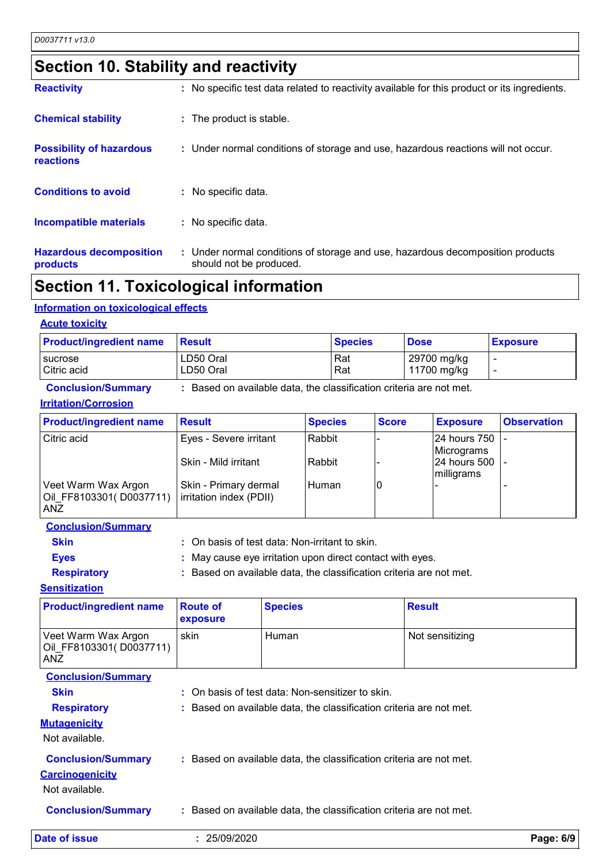# **Section 10. Stability and reactivity**

| <b>Reactivity</b><br><b>Chemical stability</b> | : No specific test data related to reactivity available for this product or its ingredients.<br>: The product is stable. |
|------------------------------------------------|--------------------------------------------------------------------------------------------------------------------------|
|                                                |                                                                                                                          |
| <b>Possibility of hazardous</b><br>reactions   | : Under normal conditions of storage and use, hazardous reactions will not occur.                                        |
| <b>Conditions to avoid</b>                     | : No specific data.                                                                                                      |
| <b>Incompatible materials</b>                  | : No specific data.                                                                                                      |
| <b>Hazardous decomposition</b><br>products     | : Under normal conditions of storage and use, hazardous decomposition products<br>should not be produced.                |

### **Section 11. Toxicological information**

#### **Information on toxicological effects**

| <b>Acute toxicity</b>          |                        |                |                            |                 |
|--------------------------------|------------------------|----------------|----------------------------|-----------------|
| <b>Product/ingredient name</b> | <b>Result</b>          | <b>Species</b> | <b>Dose</b>                | <b>Exposure</b> |
| I sucrose<br>Citric acid       | LD50 Oral<br>LD50 Oral | Rat<br>Rat     | 29700 mg/kg<br>11700 mg/kg |                 |
|                                |                        |                |                            |                 |

| <b>Conclusion/Summary</b> | Based on available data, the classification criteria are not met. |  |
|---------------------------|-------------------------------------------------------------------|--|
|---------------------------|-------------------------------------------------------------------|--|

#### **Irritation/Corrosion**

| <b>Product/ingredient name</b>                               | <b>Result</b>                                    | <b>Species</b> | <b>Score</b> | <b>Exposure</b>            | <b>Observation</b> |
|--------------------------------------------------------------|--------------------------------------------------|----------------|--------------|----------------------------|--------------------|
| Citric acid                                                  | Eyes - Severe irritant                           | l Rabbit       |              | 24 hours 750<br>Micrograms |                    |
|                                                              | Skin - Mild irritant                             | Rabbit         |              | 24 hours 500<br>milligrams |                    |
| Veet Warm Wax Argon<br>Oil FF8103301(D0037711)<br><b>ANZ</b> | Skin - Primary dermal<br>irritation index (PDII) | l Human        | IC           |                            |                    |

**Conclusion/Summary**

**Skin :** On basis of test data: Non-irritant to skin.

- **Eyes :** May cause eye irritation upon direct contact with eyes.
- 

**Respiratory :** Based on available data, the classification criteria are not met.

#### **Sensitization**

| <b>Product/ingredient name</b>                                        | <b>Route of</b><br>exposure | <b>Species</b>                                                      | <b>Result</b>   |  |
|-----------------------------------------------------------------------|-----------------------------|---------------------------------------------------------------------|-----------------|--|
| Veet Warm Wax Argon<br>Oil FF8103301(D0037711)<br>ANZ                 | skin                        | Human                                                               | Not sensitizing |  |
| <b>Conclusion/Summary</b>                                             |                             |                                                                     |                 |  |
| <b>Skin</b>                                                           |                             | : On basis of test data: Non-sensitizer to skin.                    |                 |  |
| <b>Respiratory</b>                                                    |                             | : Based on available data, the classification criteria are not met. |                 |  |
| <b>Mutagenicity</b><br>Not available.                                 |                             |                                                                     |                 |  |
| <b>Conclusion/Summary</b><br><b>Carcinogenicity</b><br>Not available. |                             | : Based on available data, the classification criteria are not met. |                 |  |
| <b>Conclusion/Summary</b>                                             |                             | : Based on available data, the classification criteria are not met. |                 |  |
| Date of issue                                                         | 25/09/2020                  |                                                                     | Page: 6/9       |  |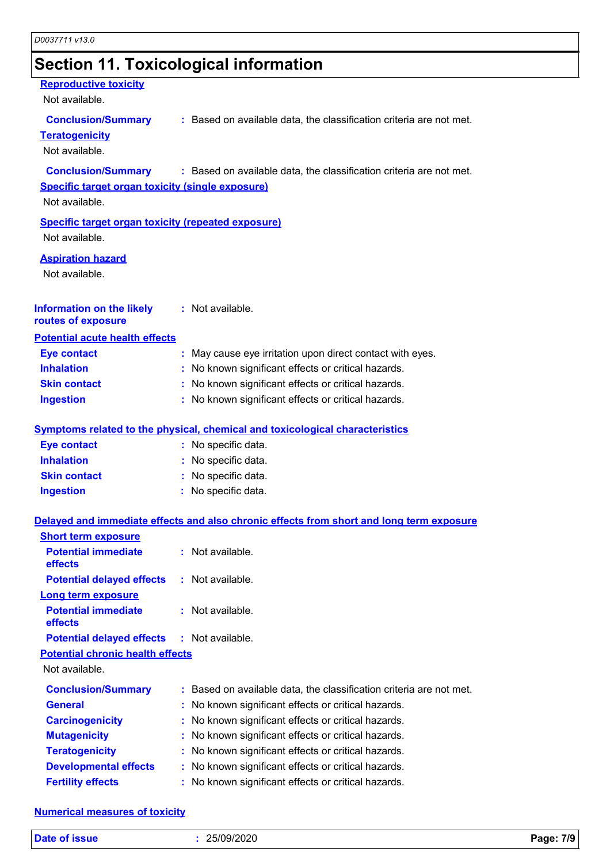# **Section 11. Toxicological information**

#### **Reproductive toxicity**

Not available.

#### **Conclusion/Summary :** Based on available data, the classification criteria are not met.

#### **Teratogenicity**

Not available.

#### **Conclusion/Summary :** Based on available data, the classification criteria are not met.

#### **Specific target organ toxicity (single exposure)**

Not available.

### **Specific target organ toxicity (repeated exposure)**

Not available.

#### **Aspiration hazard**

Not available.

#### **Information on the likely routes of exposure :** Not available.

#### **Potential acute health effects**

| <b>Eye contact</b>  | : May cause eye irritation upon direct contact with eyes. |
|---------------------|-----------------------------------------------------------|
| <b>Inhalation</b>   | : No known significant effects or critical hazards.       |
| <b>Skin contact</b> | : No known significant effects or critical hazards.       |
| <b>Ingestion</b>    | : No known significant effects or critical hazards.       |

#### **Symptoms related to the physical, chemical and toxicological characteristics**

| <b>Eye contact</b>  | : No specific data. |
|---------------------|---------------------|
| <b>Inhalation</b>   | : No specific data. |
| <b>Skin contact</b> | : No specific data. |
| <b>Ingestion</b>    | : No specific data. |

#### **Delayed and immediate effects and also chronic effects from short and long term exposure**

| <b>Short term exposure</b>                        |                                                                     |
|---------------------------------------------------|---------------------------------------------------------------------|
| <b>Potential immediate</b><br><b>effects</b>      | $:$ Not available.                                                  |
| <b>Potential delayed effects : Not available.</b> |                                                                     |
| <b>Long term exposure</b>                         |                                                                     |
| <b>Potential immediate</b><br><b>effects</b>      | $:$ Not available.                                                  |
| <b>Potential delayed effects : Not available.</b> |                                                                     |
| <b>Potential chronic health effects</b>           |                                                                     |
| Not available.                                    |                                                                     |
| <b>Conclusion/Summary</b>                         | : Based on available data, the classification criteria are not met. |
| <b>General</b>                                    | : No known significant effects or critical hazards.                 |
| <b>Carcinogenicity</b>                            | : No known significant effects or critical hazards.                 |
| <b>Mutagenicity</b>                               | : No known significant effects or critical hazards.                 |
| <b>Teratogenicity</b>                             | : No known significant effects or critical hazards.                 |
| <b>Developmental effects</b>                      | : No known significant effects or critical hazards.                 |
| <b>Fertility effects</b>                          | : No known significant effects or critical hazards.                 |

#### **Numerical measures of toxicity**

| <b>Date of issue</b> | 25/09/2020 | 7/9<br>Page: |
|----------------------|------------|--------------|
|                      | .          |              |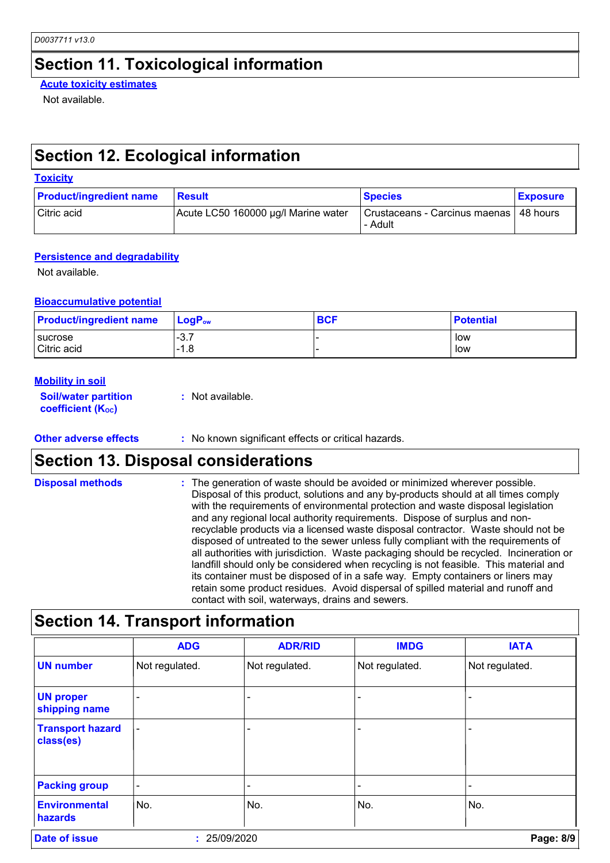# **Section 11. Toxicological information**

**Acute toxicity estimates**

Not available.

# **Section 12. Ecological information**

#### **Toxicity**

| <b>Product/ingredient name</b> | <b>Result</b>                       | <b>Species</b>                                      | <b>Exposure</b> |
|--------------------------------|-------------------------------------|-----------------------------------------------------|-----------------|
| Citric acid                    | Acute LC50 160000 µg/l Marine water | Crustaceans - Carcinus maenas   48 hours<br>- Adult |                 |

#### **Persistence and degradability**

Not available.

#### **Bioaccumulative potential**

| <b>Product/ingredient name</b>  | $\blacksquare$ LogP $_{\mathsf{ow}}$ | <b>BCF</b> | <b>Potential</b> |
|---------------------------------|--------------------------------------|------------|------------------|
| <b>I</b> sucrose<br>Citric acid | ົ<br>ాం<br>$-1.8$                    |            | low<br>low       |

| <b>Mobility in soil</b>                                 |                  |
|---------------------------------------------------------|------------------|
| <b>Soil/water partition</b><br><b>coefficient (Koc)</b> | : Not available. |

#### **Other adverse effects** : No known significant effects or critical hazards.

### **Section 13. Disposal considerations**

| <b>Disposal methods</b> | : The generation of waste should be avoided or minimized wherever possible.<br>Disposal of this product, solutions and any by-products should at all times comply<br>with the requirements of environmental protection and waste disposal legislation<br>and any regional local authority requirements. Dispose of surplus and non-<br>recyclable products via a licensed waste disposal contractor. Waste should not be<br>disposed of untreated to the sewer unless fully compliant with the requirements of<br>all authorities with jurisdiction. Waste packaging should be recycled. Incineration or<br>landfill should only be considered when recycling is not feasible. This material and<br>its container must be disposed of in a safe way. Empty containers or liners may<br>retain some product residues. Avoid dispersal of spilled material and runoff and<br>contact with soil, waterways, drains and sewers. |
|-------------------------|-----------------------------------------------------------------------------------------------------------------------------------------------------------------------------------------------------------------------------------------------------------------------------------------------------------------------------------------------------------------------------------------------------------------------------------------------------------------------------------------------------------------------------------------------------------------------------------------------------------------------------------------------------------------------------------------------------------------------------------------------------------------------------------------------------------------------------------------------------------------------------------------------------------------------------|
|                         |                                                                                                                                                                                                                                                                                                                                                                                                                                                                                                                                                                                                                                                                                                                                                                                                                                                                                                                             |

# **Section 14. Transport information**

|                                      | <b>ADG</b>               | <b>ADR/RID</b> | <b>IMDG</b>    | <b>IATA</b>    |
|--------------------------------------|--------------------------|----------------|----------------|----------------|
| <b>UN number</b>                     | Not regulated.           | Not regulated. | Not regulated. | Not regulated. |
| <b>UN proper</b><br>shipping name    | $\overline{\phantom{0}}$ |                |                |                |
| <b>Transport hazard</b><br>class(es) | $\overline{\phantom{a}}$ |                |                |                |
| <b>Packing group</b>                 | $\overline{\phantom{0}}$ |                |                |                |
| <b>Environmental</b><br>hazards      | No.                      | No.            | No.            | No.            |
| <b>Date of issue</b>                 |                          | 25/09/2020     |                | Page: 8/9      |